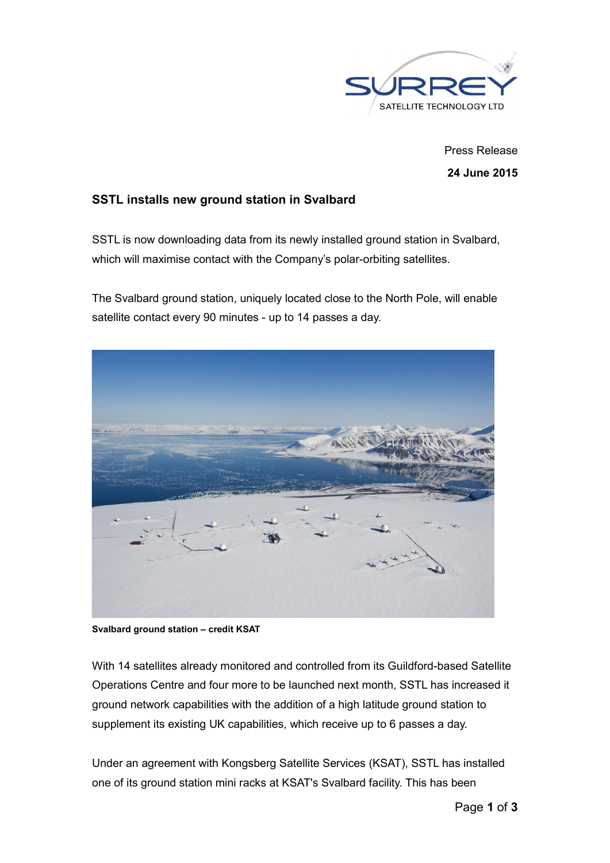

Press Release 24 June 2015

## SSTL installs new ground station in Svalbard

SSTL is now downloading data from its newly installed ground station in Svalbard, which will maximise contact with the Company's polar-orbiting satellites.

The Svalbard ground station, uniquely located close to the North Pole, will enable satellite contact every 90 minutes - up to 14 passes a day.



Svalbard ground station – credit KSAT

With 14 satellites already monitored and controlled from its Guildford-based Satellite Operations Centre and four more to be launched next month, SSTL has increased it ground network capabilities with the addition of a high latitude ground station to supplement its existing UK capabilities, which receive up to 6 passes a day.

Under an agreement with Kongsberg Satellite Services (KSAT), SSTL has installed one of its ground station mini racks at KSAT's Svalbard facility. This has been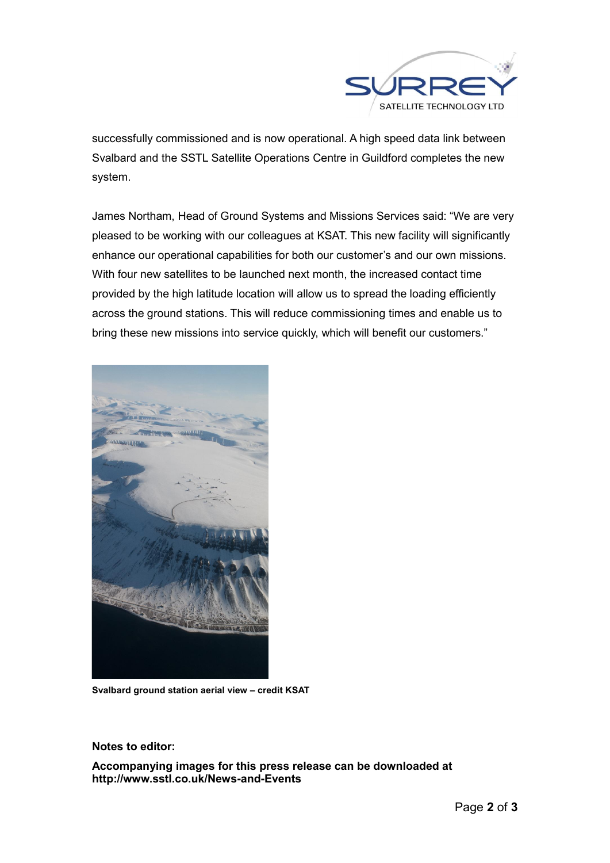

successfully commissioned and is now operational. A high speed data link between Svalbard and the SSTL Satellite Operations Centre in Guildford completes the new system.

James Northam, Head of Ground Systems and Missions Services said: "We are very pleased to be working with our colleagues at KSAT. This new facility will significantly enhance our operational capabilities for both our customer's and our own missions. With four new satellites to be launched next month, the increased contact time provided by the high latitude location will allow us to spread the loading efficiently across the ground stations. This will reduce commissioning times and enable us to bring these new missions into service quickly, which will benefit our customers."



Svalbard ground station aerial view – credit KSAT

Notes to editor:

Accompanying images for this press release can be downloaded at http://www.sstl.co.uk/News-and-Events